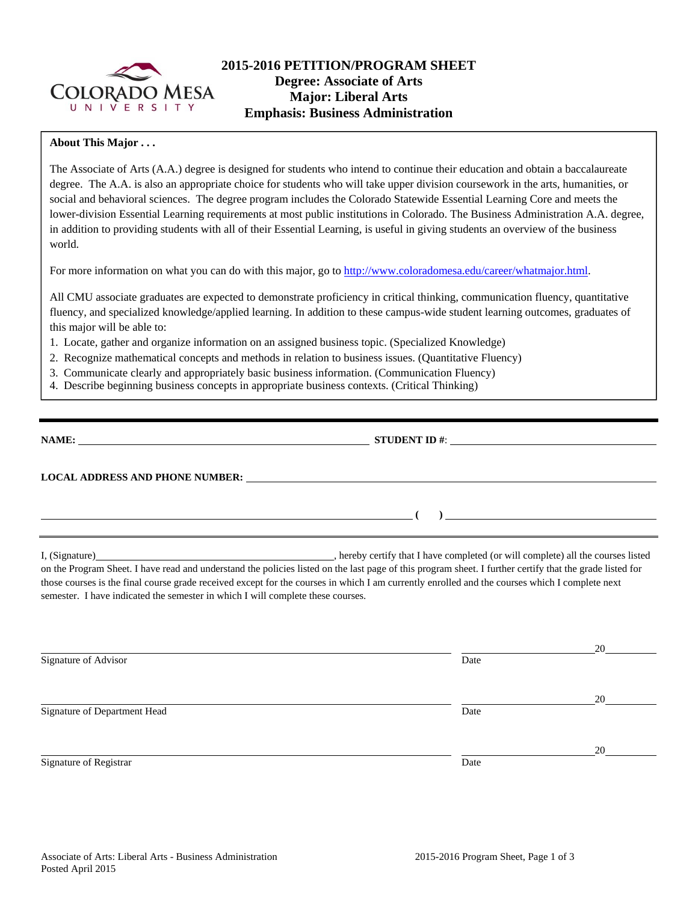

# **2015-2016 PETITION/PROGRAM SHEET Degree: Associate of Arts Major: Liberal Arts Emphasis: Business Administration**

#### **About This Major . . .**

The Associate of Arts (A.A.) degree is designed for students who intend to continue their education and obtain a baccalaureate degree. The A.A. is also an appropriate choice for students who will take upper division coursework in the arts, humanities, or social and behavioral sciences. The degree program includes the Colorado Statewide Essential Learning Core and meets the lower-division Essential Learning requirements at most public institutions in Colorado. The Business Administration A.A. degree, in addition to providing students with all of their Essential Learning, is useful in giving students an overview of the business world.

For more information on what you can do with this major, go to http://www.coloradomesa.edu/career/whatmajor.html.

All CMU associate graduates are expected to demonstrate proficiency in critical thinking, communication fluency, quantitative fluency, and specialized knowledge/applied learning. In addition to these campus-wide student learning outcomes, graduates of this major will be able to:

- 1. Locate, gather and organize information on an assigned business topic. (Specialized Knowledge)
- 2. Recognize mathematical concepts and methods in relation to business issues. (Quantitative Fluency)
- 3. Communicate clearly and appropriately basic business information. (Communication Fluency)
- 4. Describe beginning business concepts in appropriate business contexts. (Critical Thinking)

|                                                                                                                    | STUDENT ID #: $\frac{1}{2}$ $\frac{1}{2}$ $\frac{1}{2}$ $\frac{1}{2}$ $\frac{1}{2}$ $\frac{1}{2}$ $\frac{1}{2}$ $\frac{1}{2}$ $\frac{1}{2}$ $\frac{1}{2}$ $\frac{1}{2}$ $\frac{1}{2}$ $\frac{1}{2}$ $\frac{1}{2}$ $\frac{1}{2}$ $\frac{1}{2}$ $\frac{1}{2}$ $\frac{1}{2}$ $\frac{1}{2}$ $\frac{1}{2}$ $\frac{1}{2$ |  |
|--------------------------------------------------------------------------------------------------------------------|--------------------------------------------------------------------------------------------------------------------------------------------------------------------------------------------------------------------------------------------------------------------------------------------------------------------|--|
|                                                                                                                    |                                                                                                                                                                                                                                                                                                                    |  |
| <u> 1980 - Andrea Britain, amerikan personal (h. 1980).</u><br>1980 - Andrew Britain, amerikan personal (h. 1980). |                                                                                                                                                                                                                                                                                                                    |  |
|                                                                                                                    |                                                                                                                                                                                                                                                                                                                    |  |

on the Program Sheet. I have read and understand the policies listed on the last page of this program sheet. I further certify that the grade listed for those courses is the final course grade received except for the courses in which I am currently enrolled and the courses which I complete next semester. I have indicated the semester in which I will complete these courses.

|                              |      | 20 |
|------------------------------|------|----|
| Signature of Advisor         | Date |    |
|                              |      |    |
|                              |      | 20 |
| Signature of Department Head | Date |    |
|                              |      |    |
|                              |      | 20 |
| Signature of Registrar       | Date |    |
|                              |      |    |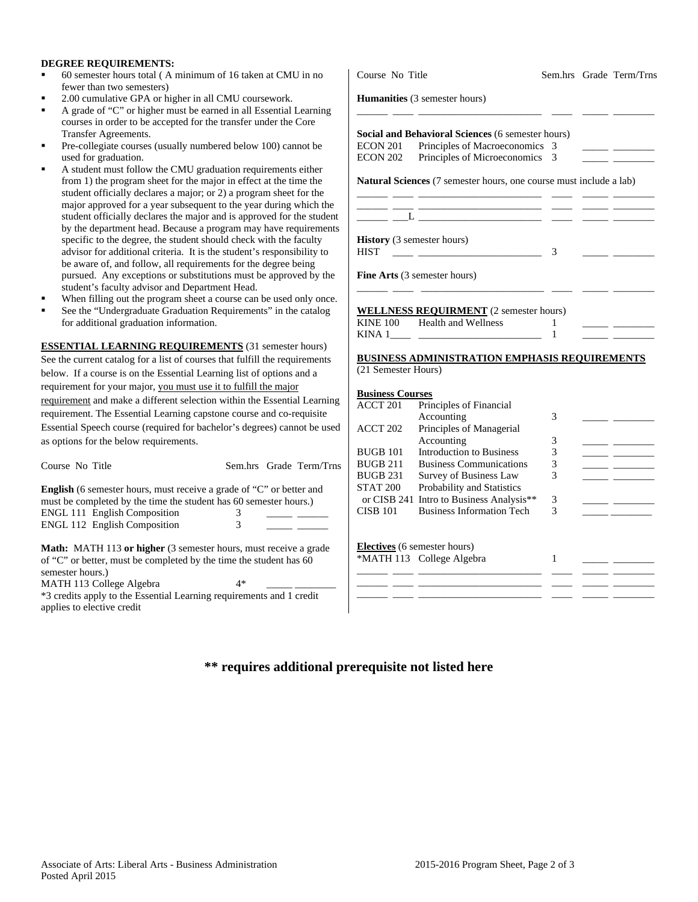#### **DEGREE REQUIREMENTS:**

- 60 semester hours total ( A minimum of 16 taken at CMU in no fewer than two semesters)
- 2.00 cumulative GPA or higher in all CMU coursework.
- A grade of "C" or higher must be earned in all Essential Learning courses in order to be accepted for the transfer under the Core Transfer Agreements.
- Pre-collegiate courses (usually numbered below 100) cannot be used for graduation.
- A student must follow the CMU graduation requirements either from 1) the program sheet for the major in effect at the time the student officially declares a major; or 2) a program sheet for the major approved for a year subsequent to the year during which the student officially declares the major and is approved for the student by the department head. Because a program may have requirement specific to the degree, the student should check with the faculty advisor for additional criteria. It is the student's responsibility to be aware of, and follow, all requirements for the degree being pursued. Any exceptions or substitutions must be approved by the student's faculty advisor and Department Head.
- When filling out the program sheet a course can be used only once.
- See the "Undergraduate Graduation Requirements" in the catalog for additional graduation information.

**ESSENTIAL LEARNING REQUIREMENTS** (31 semester hours) See the current catalog for a list of courses that fulfill the requirements below. If a course is on the Essential Learning list of options and a requirement for your major, you must use it to fulfill the major requirement and make a different selection within the Essential Learnin requirement. The Essential Learning capstone course and co-requisite Essential Speech course (required for bachelor's degrees) cannot be used as options for the below requirements.

| Course No Title                                                                                                                                                   |    | Sem.hrs Grade Term/Trns |
|-------------------------------------------------------------------------------------------------------------------------------------------------------------------|----|-------------------------|
| <b>English</b> (6 semester hours, must receive a grade of "C" or better and                                                                                       |    |                         |
| must be completed by the time the student has 60 semester hours.)                                                                                                 |    |                         |
| <b>ENGL 111 English Composition</b>                                                                                                                               | 3  |                         |
| <b>ENGL 112 English Composition</b>                                                                                                                               | 3  |                         |
| <b>Math:</b> MATH 113 or higher (3 semester hours, must receive a grade<br>of "C" or better, must be completed by the time the student has 60<br>semester hours.) | 4* |                         |
| MATH 113 College Algebra                                                                                                                                          |    |                         |
| *3 credits apply to the Essential Learning requirements and 1 credit<br>applies to elective credit                                                                |    |                         |

| Course No Title         |                                                                                           |   | Sem.hrs Grade Term/Trns          |
|-------------------------|-------------------------------------------------------------------------------------------|---|----------------------------------|
|                         | <b>Humanities</b> (3 semester hours)                                                      |   |                                  |
|                         | Social and Behavioral Sciences (6 semester hours)                                         |   |                                  |
|                         | ECON 201 Principles of Macroeconomics 3                                                   |   | <u> The Common School (1999)</u> |
|                         | ECON 202 Principles of Microeconomics 3                                                   |   |                                  |
|                         | <b>Natural Sciences</b> (7 semester hours, one course must include a lab)                 |   |                                  |
|                         | the control of the control of the control of the control of the control of the control of |   |                                  |
|                         |                                                                                           |   |                                  |
|                         | <b>History</b> (3 semester hours)                                                         |   |                                  |
| <b>HIST</b>             | <u> 1989 - John Stein, Amerikaansk politiker (</u>                                        | 3 |                                  |
|                         | <b>Fine Arts</b> (3 semester hours)                                                       |   |                                  |
|                         | <b>WELLNESS REQUIRMENT</b> (2 semester hours)                                             |   |                                  |
|                         | KINE 100 Health and Wellness                                                              |   |                                  |
|                         | KINA $1 \_$ $\_$                                                                          |   |                                  |
|                         | <b>BUSINESS ADMINISTRATION EMPHASIS REQUIREMENTS</b>                                      |   |                                  |
| (21 Semester Hours)     |                                                                                           |   |                                  |
| <b>Business Courses</b> |                                                                                           |   |                                  |
|                         | <b>ACCT 201</b> Principles of Financial                                                   |   |                                  |
|                         |                                                                                           |   |                                  |

| ACCT 201        | Principles of Financial                              |   |  |
|-----------------|------------------------------------------------------|---|--|
|                 | Accounting                                           | 3 |  |
| ACCT 202        | Principles of Managerial                             |   |  |
|                 | Accounting                                           | 3 |  |
| BUGB 101        | <b>Introduction to Business</b>                      | 3 |  |
| BUGB 211        | <b>Business Communications</b>                       | 3 |  |
| BUGB 231        | Survey of Business Law                               | 3 |  |
| <b>STAT 200</b> | <b>Probability and Statistics</b>                    |   |  |
|                 | or CISB 241 Intro to Business Analysis <sup>**</sup> | 3 |  |
| CISB 101        | <b>Business Information Tech</b>                     | 3 |  |
|                 |                                                      |   |  |
|                 | <b>Electives</b> (6 semester hours)                  |   |  |
|                 | *MATH 113 College Algebra                            |   |  |
|                 |                                                      |   |  |
|                 |                                                      |   |  |
|                 |                                                      |   |  |

## **\*\* requires additional prerequisite not listed here**